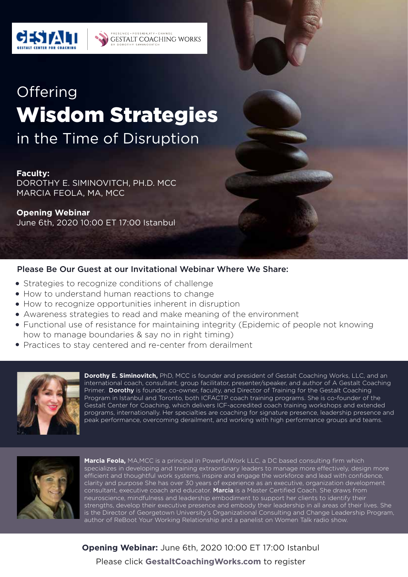

# **Offering** Wisdom Strategies in the Time of Disruption

**SENCE · POSSIBILIT** 

**Y SIMINOVI** 

GESTALT COACHING WORKS

#### **Faculty:**

DOROTHY E. SIMINOVITCH, PH.D. MCC MARCIA FEOLA, MA, MCC

#### **Opening Webinar** June 6th, 2020 10:00 ET 17:00 Istanbul

# Please Be Our Guest at our Invitational Webinar Where We Share:

- Strategies to recognize conditions of challenge
- How to understand human reactions to change
- How to recognize opportunities inherent in disruption
- Awareness strategies to read and make meaning of the environment
- Functional use of resistance for maintaining integrity (Epidemic of people not knowing how to manage boundaries & say no in right timing)
- Practices to stay centered and re-center from derailment



**Dorothy E. Siminovitch,** PhD, MCC is founder and president of Gestalt Coaching Works, LLC, and an international coach, consultant, group facilitator, presenter/speaker, and author of A Gestalt Coaching Primer. Dorothy is founder, co-owner, faculty, and Director of Training for the Gestalt Coaching Program in Istanbul and Toronto, both ICFACTP coach training programs. She is co-founder of the Gestalt Center for Coaching, which delivers ICF-accredited coach training workshops and extended programs, internationally. Her specialties are coaching for signature presence, leadership presence and peak performance, overcoming derailment, and working with high performance groups and teams.



**Marcia Feola,** MA,MCC is a principal in PowerfulWork LLC, a DC based consulting firm which specializes in developing and training extraordinary leaders to manage more effectively, design more efficient and thoughtful work systems, inspire and engage the workforce and lead with confidence, clarity and purpose She has over 30 years of experience as an executive, organization development consultant, executive coach and educator. Marcia is a Master Certified Coach. She draws from neuroscience, mindfulness and leadership embodiment to support her clients to identify their strengths, develop their executive presence and embody their leadership in all areas of their lives. She is the Director of Georgetown University's Organizational Consulting and Change Leadership Program, author of ReBoot Your Working Relationship and a panelist on Women Talk radio show.

# **Opening Webinar:** June 6th, 2020 10:00 ET 17:00 Istanbul Please click **GestaltCoachingWorks.com** to register